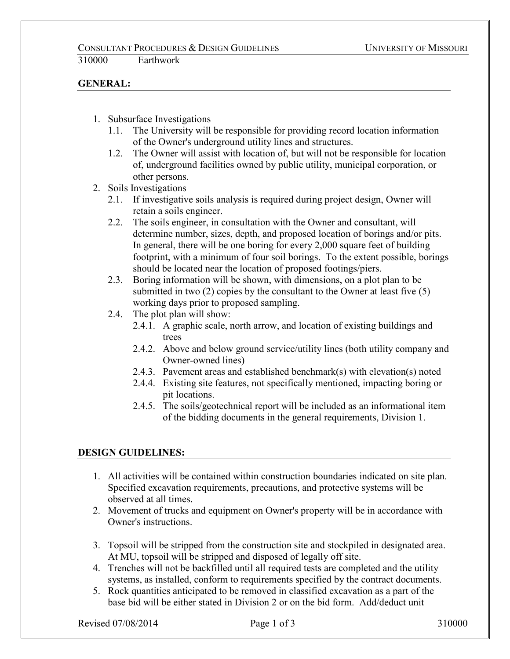## **GENERAL:**

- 1. Subsurface Investigations
	- 1.1. The University will be responsible for providing record location information of the Owner's underground utility lines and structures.
	- 1.2. The Owner will assist with location of, but will not be responsible for location of, underground facilities owned by public utility, municipal corporation, or other persons.
- 2. Soils Investigations
	- 2.1. If investigative soils analysis is required during project design, Owner will retain a soils engineer.
	- 2.2. The soils engineer, in consultation with the Owner and consultant, will determine number, sizes, depth, and proposed location of borings and/or pits. In general, there will be one boring for every 2,000 square feet of building footprint, with a minimum of four soil borings. To the extent possible, borings should be located near the location of proposed footings/piers.
	- 2.3. Boring information will be shown, with dimensions, on a plot plan to be submitted in two (2) copies by the consultant to the Owner at least five (5) working days prior to proposed sampling.
	- 2.4. The plot plan will show:
		- 2.4.1. A graphic scale, north arrow, and location of existing buildings and trees
		- 2.4.2. Above and below ground service/utility lines (both utility company and Owner-owned lines)
		- 2.4.3. Pavement areas and established benchmark(s) with elevation(s) noted
		- 2.4.4. Existing site features, not specifically mentioned, impacting boring or pit locations.
		- 2.4.5. The soils/geotechnical report will be included as an informational item of the bidding documents in the general requirements, Division 1.

## **DESIGN GUIDELINES:**

- 1. All activities will be contained within construction boundaries indicated on site plan. Specified excavation requirements, precautions, and protective systems will be observed at all times.
- 2. Movement of trucks and equipment on Owner's property will be in accordance with Owner's instructions.
- 3. Topsoil will be stripped from the construction site and stockpiled in designated area. At MU, topsoil will be stripped and disposed of legally off site.
- 4. Trenches will not be backfilled until all required tests are completed and the utility systems, as installed, conform to requirements specified by the contract documents.
- 5. Rock quantities anticipated to be removed in classified excavation as a part of the base bid will be either stated in Division 2 or on the bid form. Add/deduct unit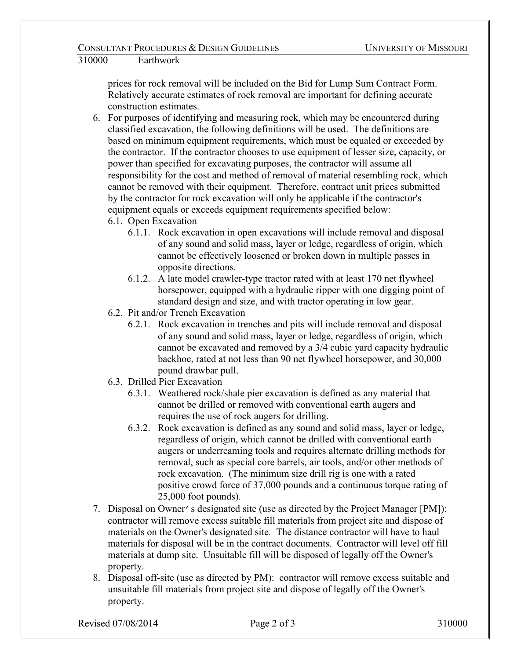## 310000 Earthwork

prices for rock removal will be included on the Bid for Lump Sum Contract Form. Relatively accurate estimates of rock removal are important for defining accurate construction estimates.

- 6. For purposes of identifying and measuring rock, which may be encountered during classified excavation, the following definitions will be used. The definitions are based on minimum equipment requirements, which must be equaled or exceeded by the contractor. If the contractor chooses to use equipment of lesser size, capacity, or power than specified for excavating purposes, the contractor will assume all responsibility for the cost and method of removal of material resembling rock, which cannot be removed with their equipment. Therefore, contract unit prices submitted by the contractor for rock excavation will only be applicable if the contractor's equipment equals or exceeds equipment requirements specified below:
	- 6.1. Open Excavation
		- 6.1.1. Rock excavation in open excavations will include removal and disposal of any sound and solid mass, layer or ledge, regardless of origin, which cannot be effectively loosened or broken down in multiple passes in opposite directions.
		- 6.1.2. A late model crawler-type tractor rated with at least 170 net flywheel horsepower, equipped with a hydraulic ripper with one digging point of standard design and size, and with tractor operating in low gear.
	- 6.2. Pit and/or Trench Excavation
		- 6.2.1. Rock excavation in trenches and pits will include removal and disposal of any sound and solid mass, layer or ledge, regardless of origin, which cannot be excavated and removed by a 3/4 cubic yard capacity hydraulic backhoe, rated at not less than 90 net flywheel horsepower, and 30,000 pound drawbar pull.
	- 6.3. Drilled Pier Excavation
		- 6.3.1. Weathered rock/shale pier excavation is defined as any material that cannot be drilled or removed with conventional earth augers and requires the use of rock augers for drilling.
		- 6.3.2. Rock excavation is defined as any sound and solid mass, layer or ledge, regardless of origin, which cannot be drilled with conventional earth augers or underreaming tools and requires alternate drilling methods for removal, such as special core barrels, air tools, and/or other methods of rock excavation. (The minimum size drill rig is one with a rated positive crowd force of 37,000 pounds and a continuous torque rating of 25,000 foot pounds).
- 7. Disposal on Owner's designated site (use as directed by the Project Manager [PM]): contractor will remove excess suitable fill materials from project site and dispose of materials on the Owner's designated site. The distance contractor will have to haul materials for disposal will be in the contract documents. Contractor will level off fill materials at dump site. Unsuitable fill will be disposed of legally off the Owner's property.
- 8. Disposal off-site (use as directed by PM): contractor will remove excess suitable and unsuitable fill materials from project site and dispose of legally off the Owner's property.

Revised  $07/08/2014$  Page 2 of 3 310000